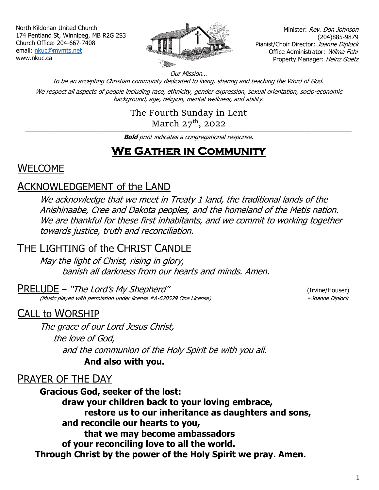North Kildonan United Church 174 Pentland St, Winnipeg, MB R2G 2S3 Church Office: 204-667-7408 email: [nkuc@mymts.net](mailto:nkuc@mymts.net) www.nkuc.ca



Minister: Rev. Don Johnson (204)885-9879 Pianist/Choir Director: Joanne Diplock Office Administrator: Wilma Fehr Property Manager: Heinz Goetz

Our Mission…

to be an accepting Christian community dedicated to living, sharing and teaching the Word of God.

We respect all aspects of people including race, ethnicity, gender expression, sexual orientation, socio-economic background, age, religion, mental wellness, and ability.

The Fourth Sunday in Lent March 27<sup>th</sup>, 2022 **\_\_\_\_\_\_\_\_\_\_\_\_\_\_\_\_\_\_\_\_\_\_\_\_\_\_\_\_\_\_\_\_\_\_\_\_\_\_\_\_\_\_\_\_\_\_\_\_\_\_\_\_\_\_\_\_\_\_\_\_\_\_\_\_\_\_\_\_\_\_\_\_\_\_\_\_\_\_\_\_\_\_\_\_\_\_\_\_\_\_\_\_\_\_\_\_\_\_\_\_\_\_\_\_\_\_\_\_\_\_\_\_\_\_\_\_\_\_\_\_\_\_\_\_\_\_\_\_\_\_\_\_\_\_\_\_\_\_\_\_\_\_\_\_\_\_\_\_\_\_\_\_\_\_\_\_\_\_\_\_\_\_\_\_\_\_\_\_\_\_\_\_\_\_\_\_\_\_\_\_\_\_\_\_\_\_\_\_\_\_\_\_\_\_\_\_\_\_\_\_\_\_\_\_\_\_\_**

**Bold** print indicates a congregational response.

# **We Gather in Community**

# WELCOME

# ACKNOWLEDGEMENT of the LAND

We acknowledge that we meet in Treaty 1 land, the traditional lands of the Anishinaabe, Cree and Dakota peoples, and the homeland of the Metis nation. We are thankful for these first inhabitants, and we commit to working together towards justice, truth and reconciliation.

# THE LIGHTING of the CHRIST CANDLE

May the light of Christ, rising in glory, banish all darkness from our hearts and minds. Amen.

PRELUDE – "The Lord's My Shepherd" (Irvine/Houser) (Music played with permission under license #A-620529 One License) ~Joanne Diplock

# CALL to WORSHIP

The grace of our Lord Jesus Christ, the love of God, and the communion of the Holy Spirit be with you all.

#### **And also with you.**

# PRAYER OF THE DAY

**Gracious God, seeker of the lost: draw your children back to your loving embrace, restore us to our inheritance as daughters and sons, and reconcile our hearts to you, that we may become ambassadors of your reconciling love to all the world. Through Christ by the power of the Holy Spirit we pray. Amen.**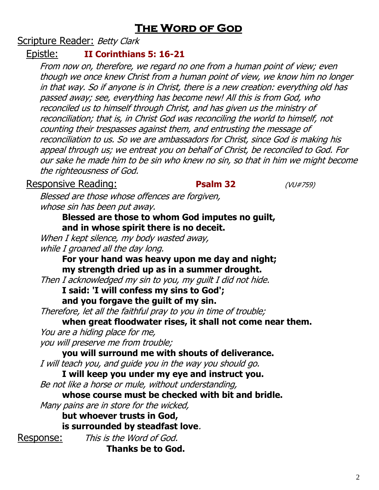# **The Word of God**

Scripture Reader: Betty Clark

#### Epistle: **II Corinthians 5: 16-21**

From now on, therefore, we regard no one from a human point of view; even though we once knew Christ from a human point of view, we know him no longer in that way. So if anyone is in Christ, there is a new creation: everything old has passed away; see, everything has become new! All this is from God, who reconciled us to himself through Christ, and has given us the ministry of reconciliation; that is, in Christ God was reconciling the world to himself, not counting their trespasses against them, and entrusting the message of reconciliation to us. So we are ambassadors for Christ, since God is making his appeal through us; we entreat you on behalf of Christ, be reconciled to God. For our sake he made him to be sin who knew no sin, so that in him we might become the righteousness of God.

#### Responsive Reading: **Psalm 32** (VU#759)

Blessed are those whose offences are forgiven, whose sin has been put away.

> **Blessed are those to whom God imputes no guilt, and in whose spirit there is no deceit.**

When I kept silence, my body wasted away, while I groaned all the day long.

> **For your hand was heavy upon me day and night; my strength dried up as in a summer drought.**

Then I acknowledged my sin to you, my guilt I did not hide.

**I said: 'I will confess my sins to God';**

**and you forgave the guilt of my sin.**

Therefore, let all the faithful pray to you in time of trouble;

**when great floodwater rises, it shall not come near them.**

You are a hiding place for me, you will preserve me from trouble;

**you will surround me with shouts of deliverance.**  I will teach you, and guide you in the way you should go.

**I will keep you under my eye and instruct you.**

Be not like a horse or mule, without understanding,

**whose course must be checked with bit and bridle.**

Many pains are in store for the wicked,

**but whoever trusts in God,**

**is surrounded by steadfast love**.

Response: This is the Word of God.

**Thanks be to God.**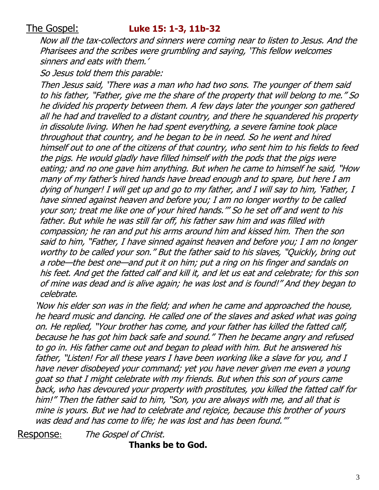#### The Gospel: **Luke 15: 1-3, 11b-32**

Now all the tax-collectors and sinners were coming near to listen to Jesus. And the Pharisees and the scribes were grumbling and saying, 'This fellow welcomes sinners and eats with them.'

So Jesus told them this parable:

Then Jesus said, 'There was a man who had two sons. The younger of them said to his father, "Father, give me the share of the property that will belong to me." So he divided his property between them. A few days later the younger son gathered all he had and travelled to a distant country, and there he squandered his property in dissolute living. When he had spent everything, a severe famine took place throughout that country, and he began to be in need. So he went and hired himself out to one of the citizens of that country, who sent him to his fields to feed the pigs. He would gladly have filled himself with the pods that the pigs were eating; and no one gave him anything. But when he came to himself he said, "How many of my father's hired hands have bread enough and to spare, but here I am dying of hunger! I will get up and go to my father, and I will say to him, 'Father, I have sinned against heaven and before you; I am no longer worthy to be called your son; treat me like one of your hired hands.'" So he set off and went to his father. But while he was still far off, his father saw him and was filled with compassion; he ran and put his arms around him and kissed him. Then the son said to him, "Father, I have sinned against heaven and before you; I am no longer worthy to be called your son." But the father said to his slaves, "Quickly, bring out a robe—the best one—and put it on him; put a ring on his finger and sandals on his feet. And get the fatted calf and kill it, and let us eat and celebrate; for this son of mine was dead and is alive again; he was lost and is found!" And they began to celebrate.

'Now his elder son was in the field; and when he came and approached the house, he heard music and dancing. He called one of the slaves and asked what was going on. He replied, "Your brother has come, and your father has killed the fatted calf, because he has got him back safe and sound." Then he became angry and refused to go in. His father came out and began to plead with him. But he answered his father, "Listen! For all these years I have been working like a slave for you, and I have never disobeyed your command; yet you have never given me even a young goat so that I might celebrate with my friends. But when this son of yours came back, who has devoured your property with prostitutes, you killed the fatted calf for him!" Then the father said to him, "Son, you are always with me, and all that is mine is yours. But we had to celebrate and rejoice, because this brother of yours was dead and has come to life; he was lost and has been found."'

Response: The Gospel of Christ.

**Thanks be to God.**